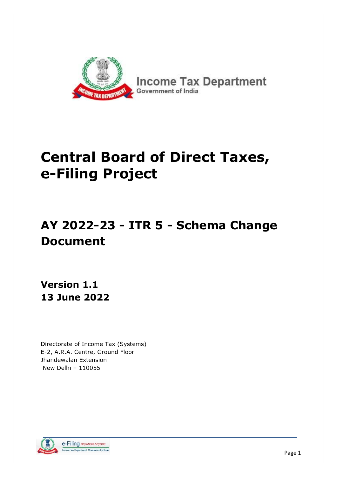

# **Central Board of Direct Taxes, e-Filing Project**

# **AY 2022-23 - ITR 5 - Schema Change Document**

**Version 1.1 13 June 2022**

Directorate of Income Tax (Systems) E-2, A.R.A. Centre, Ground Floor Jhandewalan Extension New Delhi – 110055

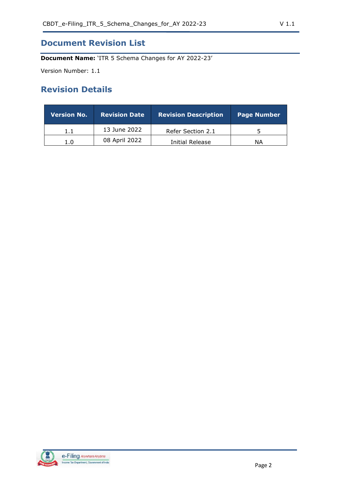## **Document Revision List**

**Document Name:** 'ITR 5 Schema Changes for AY 2022-23'

Version Number: 1.1

## **Revision Details**

| <b>Version No.</b> | <b>Revision Date</b> | <b>Revision Description</b> | <b>Page Number</b> |
|--------------------|----------------------|-----------------------------|--------------------|
| 1.1                | 13 June 2022         | Refer Section 2.1           |                    |
| 1.0                | 08 April 2022        | Initial Release             | ΝA                 |

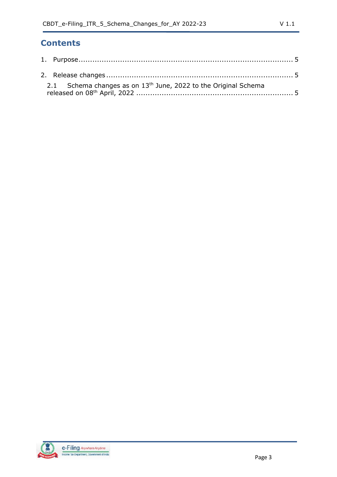# **Contents**

| 2.1 Schema changes as on $13th$ June, 2022 to the Original Schema |  |
|-------------------------------------------------------------------|--|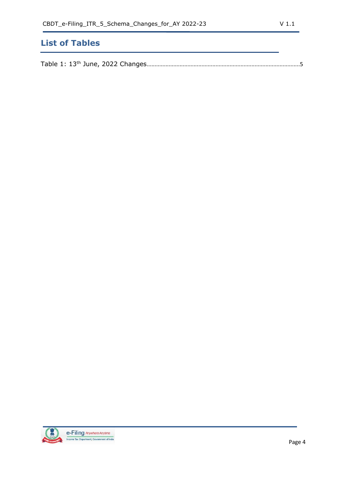# **List of Tables**